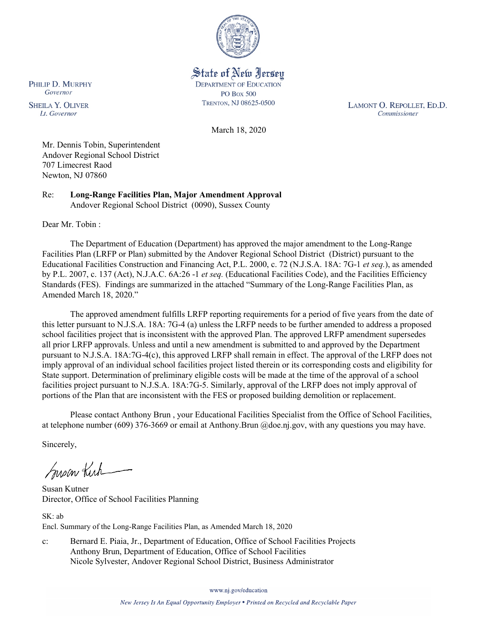

State of New Jersey **DEPARTMENT OF EDUCATION PO Box 500** TRENTON, NJ 08625-0500

LAMONT O. REPOLLET, ED.D. Commissioner

March 18, 2020

Mr. Dennis Tobin, Superintendent Andover Regional School District 707 Limecrest Raod Newton, NJ 07860

Re: **Long-Range Facilities Plan, Major Amendment Approval** Andover Regional School District (0090), Sussex County

Dear Mr. Tobin :

PHILIP D. MURPHY Governor

**SHEILA Y. OLIVER** 

Lt. Governor

The Department of Education (Department) has approved the major amendment to the Long-Range Facilities Plan (LRFP or Plan) submitted by the Andover Regional School District (District) pursuant to the Educational Facilities Construction and Financing Act, P.L. 2000, c. 72 (N.J.S.A. 18A: 7G-1 *et seq.*), as amended by P.L. 2007, c. 137 (Act), N.J.A.C. 6A:26 -1 *et seq.* (Educational Facilities Code), and the Facilities Efficiency Standards (FES). Findings are summarized in the attached "Summary of the Long-Range Facilities Plan, as Amended March 18, 2020."

The approved amendment fulfills LRFP reporting requirements for a period of five years from the date of this letter pursuant to N.J.S.A. 18A: 7G-4 (a) unless the LRFP needs to be further amended to address a proposed school facilities project that is inconsistent with the approved Plan. The approved LRFP amendment supersedes all prior LRFP approvals. Unless and until a new amendment is submitted to and approved by the Department pursuant to N.J.S.A. 18A:7G-4(c), this approved LRFP shall remain in effect. The approval of the LRFP does not imply approval of an individual school facilities project listed therein or its corresponding costs and eligibility for State support. Determination of preliminary eligible costs will be made at the time of the approval of a school facilities project pursuant to N.J.S.A. 18A:7G-5. Similarly, approval of the LRFP does not imply approval of portions of the Plan that are inconsistent with the FES or proposed building demolition or replacement.

Please contact Anthony Brun , your Educational Facilities Specialist from the Office of School Facilities, at telephone number (609) 376-3669 or email at Anthony.Brun @doe.nj.gov, with any questions you may have.

Sincerely,

Susan Kich

Susan Kutner Director, Office of School Facilities Planning

SK: ab Encl. Summary of the Long-Range Facilities Plan, as Amended March 18, 2020

c: Bernard E. Piaia, Jr., Department of Education, Office of School Facilities Projects Anthony Brun, Department of Education, Office of School Facilities Nicole Sylvester, Andover Regional School District, Business Administrator

www.nj.gov/education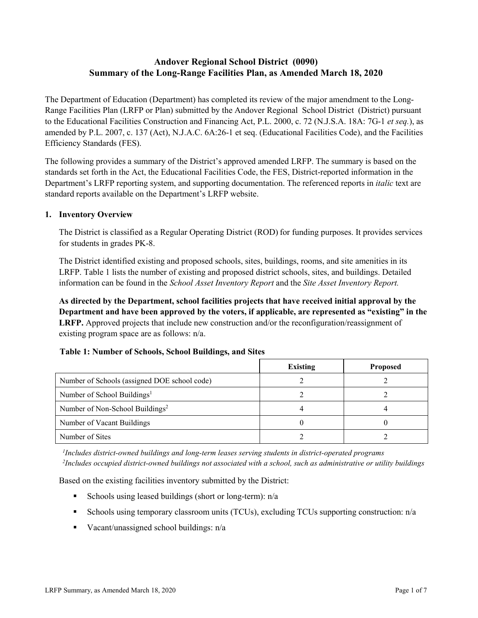# **Andover Regional School District (0090) Summary of the Long-Range Facilities Plan, as Amended March 18, 2020**

The Department of Education (Department) has completed its review of the major amendment to the Long-Range Facilities Plan (LRFP or Plan) submitted by the Andover Regional School District (District) pursuant to the Educational Facilities Construction and Financing Act, P.L. 2000, c. 72 (N.J.S.A. 18A: 7G-1 *et seq.*), as amended by P.L. 2007, c. 137 (Act), N.J.A.C. 6A:26-1 et seq. (Educational Facilities Code), and the Facilities Efficiency Standards (FES).

The following provides a summary of the District's approved amended LRFP. The summary is based on the standards set forth in the Act, the Educational Facilities Code, the FES, District-reported information in the Department's LRFP reporting system, and supporting documentation. The referenced reports in *italic* text are standard reports available on the Department's LRFP website.

### **1. Inventory Overview**

The District is classified as a Regular Operating District (ROD) for funding purposes. It provides services for students in grades PK-8.

The District identified existing and proposed schools, sites, buildings, rooms, and site amenities in its LRFP. Table 1 lists the number of existing and proposed district schools, sites, and buildings. Detailed information can be found in the *School Asset Inventory Report* and the *Site Asset Inventory Report.*

**As directed by the Department, school facilities projects that have received initial approval by the Department and have been approved by the voters, if applicable, are represented as "existing" in the LRFP.** Approved projects that include new construction and/or the reconfiguration/reassignment of existing program space are as follows: n/a.

|  |  | Table 1: Number of Schools, School Buildings, and Sites |  |
|--|--|---------------------------------------------------------|--|
|--|--|---------------------------------------------------------|--|

|                                              | <b>Existing</b> | <b>Proposed</b> |
|----------------------------------------------|-----------------|-----------------|
| Number of Schools (assigned DOE school code) |                 |                 |
| Number of School Buildings <sup>1</sup>      |                 |                 |
| Number of Non-School Buildings <sup>2</sup>  |                 |                 |
| Number of Vacant Buildings                   |                 |                 |
| Number of Sites                              |                 |                 |

*1 Includes district-owned buildings and long-term leases serving students in district-operated programs 2 Includes occupied district-owned buildings not associated with a school, such as administrative or utility buildings*

Based on the existing facilities inventory submitted by the District:

- Schools using leased buildings (short or long-term):  $n/a$
- Schools using temporary classroom units (TCUs), excluding TCUs supporting construction: n/a
- Vacant/unassigned school buildings:  $n/a$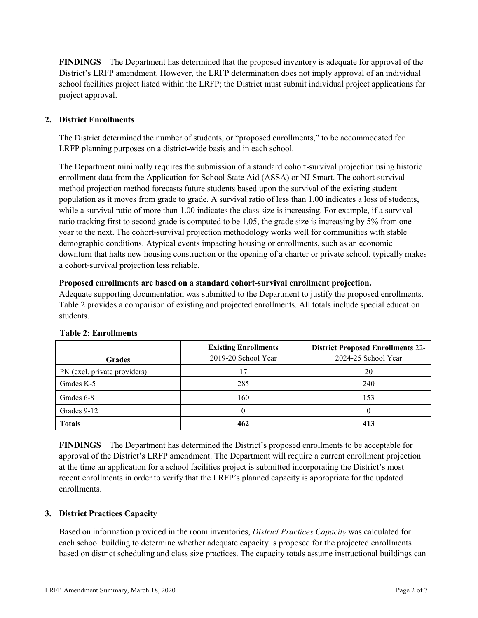**FINDINGS** The Department has determined that the proposed inventory is adequate for approval of the District's LRFP amendment. However, the LRFP determination does not imply approval of an individual school facilities project listed within the LRFP; the District must submit individual project applications for project approval.

# **2. District Enrollments**

The District determined the number of students, or "proposed enrollments," to be accommodated for LRFP planning purposes on a district-wide basis and in each school.

The Department minimally requires the submission of a standard cohort-survival projection using historic enrollment data from the Application for School State Aid (ASSA) or NJ Smart. The cohort-survival method projection method forecasts future students based upon the survival of the existing student population as it moves from grade to grade. A survival ratio of less than 1.00 indicates a loss of students, while a survival ratio of more than 1.00 indicates the class size is increasing. For example, if a survival ratio tracking first to second grade is computed to be 1.05, the grade size is increasing by 5% from one year to the next. The cohort-survival projection methodology works well for communities with stable demographic conditions. Atypical events impacting housing or enrollments, such as an economic downturn that halts new housing construction or the opening of a charter or private school, typically makes a cohort-survival projection less reliable.

#### **Proposed enrollments are based on a standard cohort-survival enrollment projection.**

Adequate supporting documentation was submitted to the Department to justify the proposed enrollments. Table 2 provides a comparison of existing and projected enrollments. All totals include special education students.

| <b>Grades</b>                | <b>Existing Enrollments</b><br>2019-20 School Year | <b>District Proposed Enrollments 22-</b><br>2024-25 School Year |
|------------------------------|----------------------------------------------------|-----------------------------------------------------------------|
| PK (excl. private providers) | 17                                                 | 20                                                              |
| Grades K-5                   | 285                                                | 240                                                             |
| Grades 6-8                   | 160                                                | 153                                                             |
| Grades 9-12                  |                                                    |                                                                 |
| <b>Totals</b>                | 462                                                | 413                                                             |

#### **Table 2: Enrollments**

**FINDINGS** The Department has determined the District's proposed enrollments to be acceptable for approval of the District's LRFP amendment. The Department will require a current enrollment projection at the time an application for a school facilities project is submitted incorporating the District's most recent enrollments in order to verify that the LRFP's planned capacity is appropriate for the updated enrollments.

#### **3. District Practices Capacity**

Based on information provided in the room inventories, *District Practices Capacity* was calculated for each school building to determine whether adequate capacity is proposed for the projected enrollments based on district scheduling and class size practices. The capacity totals assume instructional buildings can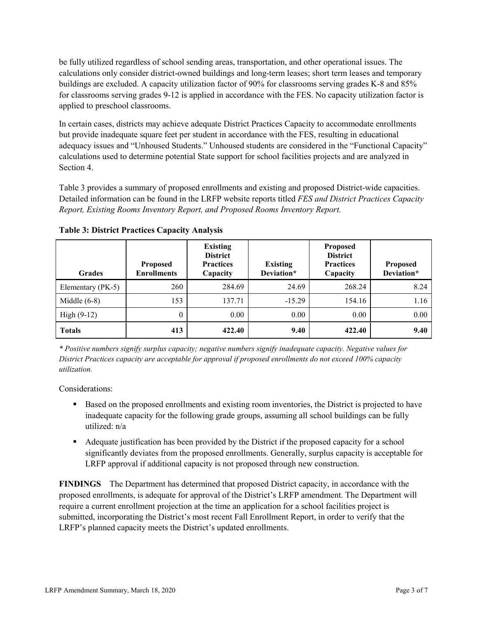be fully utilized regardless of school sending areas, transportation, and other operational issues. The calculations only consider district-owned buildings and long-term leases; short term leases and temporary buildings are excluded. A capacity utilization factor of 90% for classrooms serving grades K-8 and 85% for classrooms serving grades 9-12 is applied in accordance with the FES. No capacity utilization factor is applied to preschool classrooms.

In certain cases, districts may achieve adequate District Practices Capacity to accommodate enrollments but provide inadequate square feet per student in accordance with the FES, resulting in educational adequacy issues and "Unhoused Students." Unhoused students are considered in the "Functional Capacity" calculations used to determine potential State support for school facilities projects and are analyzed in Section 4.

Table 3 provides a summary of proposed enrollments and existing and proposed District-wide capacities. Detailed information can be found in the LRFP website reports titled *FES and District Practices Capacity Report, Existing Rooms Inventory Report, and Proposed Rooms Inventory Report.*

| <b>Grades</b>     | <b>Proposed</b><br><b>Enrollments</b> | <b>Existing</b><br><b>District</b><br><b>Practices</b><br>Capacity | <b>Existing</b><br>Deviation* | <b>Proposed</b><br><b>District</b><br><b>Practices</b><br>Capacity | <b>Proposed</b><br>Deviation* |
|-------------------|---------------------------------------|--------------------------------------------------------------------|-------------------------------|--------------------------------------------------------------------|-------------------------------|
| Elementary (PK-5) | 260                                   | 284.69                                                             | 24.69                         | 268.24                                                             | 8.24                          |
| Middle $(6-8)$    | 153                                   | 137.71                                                             | $-15.29$                      | 154.16                                                             | 1.16                          |
| High $(9-12)$     | $\theta$                              | 0.00                                                               | 0.00                          | 0.00                                                               | 0.00                          |
| <b>Totals</b>     | 413                                   | 422.40                                                             | 9.40                          | 422.40                                                             | 9.40                          |

**Table 3: District Practices Capacity Analysis**

*\* Positive numbers signify surplus capacity; negative numbers signify inadequate capacity. Negative values for District Practices capacity are acceptable for approval if proposed enrollments do not exceed 100% capacity utilization.*

Considerations:

- **Based on the proposed enrollments and existing room inventories, the District is projected to have** inadequate capacity for the following grade groups, assuming all school buildings can be fully utilized: n/a
- Adequate justification has been provided by the District if the proposed capacity for a school significantly deviates from the proposed enrollments. Generally, surplus capacity is acceptable for LRFP approval if additional capacity is not proposed through new construction.

**FINDINGS**The Department has determined that proposed District capacity, in accordance with the proposed enrollments, is adequate for approval of the District's LRFP amendment. The Department will require a current enrollment projection at the time an application for a school facilities project is submitted, incorporating the District's most recent Fall Enrollment Report, in order to verify that the LRFP's planned capacity meets the District's updated enrollments.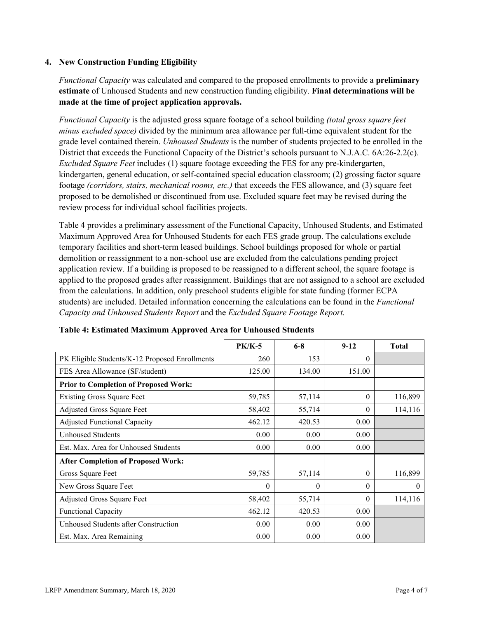### **4. New Construction Funding Eligibility**

*Functional Capacity* was calculated and compared to the proposed enrollments to provide a **preliminary estimate** of Unhoused Students and new construction funding eligibility. **Final determinations will be made at the time of project application approvals.**

*Functional Capacity* is the adjusted gross square footage of a school building *(total gross square feet minus excluded space)* divided by the minimum area allowance per full-time equivalent student for the grade level contained therein. *Unhoused Students* is the number of students projected to be enrolled in the District that exceeds the Functional Capacity of the District's schools pursuant to N.J.A.C. 6A:26-2.2(c). *Excluded Square Feet* includes (1) square footage exceeding the FES for any pre-kindergarten, kindergarten, general education, or self-contained special education classroom; (2) grossing factor square footage *(corridors, stairs, mechanical rooms, etc.)* that exceeds the FES allowance, and (3) square feet proposed to be demolished or discontinued from use. Excluded square feet may be revised during the review process for individual school facilities projects.

Table 4 provides a preliminary assessment of the Functional Capacity, Unhoused Students, and Estimated Maximum Approved Area for Unhoused Students for each FES grade group. The calculations exclude temporary facilities and short-term leased buildings. School buildings proposed for whole or partial demolition or reassignment to a non-school use are excluded from the calculations pending project application review. If a building is proposed to be reassigned to a different school, the square footage is applied to the proposed grades after reassignment. Buildings that are not assigned to a school are excluded from the calculations. In addition, only preschool students eligible for state funding (former ECPA students) are included. Detailed information concerning the calculations can be found in the *Functional Capacity and Unhoused Students Report* and the *Excluded Square Footage Report.*

|                                                | <b>PK/K-5</b> | $6 - 8$  | $9 - 12$ | <b>Total</b> |
|------------------------------------------------|---------------|----------|----------|--------------|
| PK Eligible Students/K-12 Proposed Enrollments | 260           | 153      | $\theta$ |              |
| FES Area Allowance (SF/student)                | 125.00        | 134.00   | 151.00   |              |
| <b>Prior to Completion of Proposed Work:</b>   |               |          |          |              |
| <b>Existing Gross Square Feet</b>              | 59,785        | 57,114   | $\theta$ | 116,899      |
| Adjusted Gross Square Feet                     | 58,402        | 55,714   | $\theta$ | 114,116      |
| <b>Adjusted Functional Capacity</b>            | 462.12        | 420.53   | 0.00     |              |
| <b>Unhoused Students</b>                       | 0.00          | 0.00     | 0.00     |              |
| Est. Max. Area for Unhoused Students           | 0.00          | 0.00     | 0.00     |              |
| <b>After Completion of Proposed Work:</b>      |               |          |          |              |
| Gross Square Feet                              | 59,785        | 57,114   | $\theta$ | 116,899      |
| New Gross Square Feet                          | $\theta$      | $\theta$ | $\Omega$ | $\theta$     |
| Adjusted Gross Square Feet                     | 58,402        | 55,714   | $\Omega$ | 114,116      |
| <b>Functional Capacity</b>                     | 462.12        | 420.53   | 0.00     |              |
| Unhoused Students after Construction           | 0.00          | 0.00     | 0.00     |              |
| Est. Max. Area Remaining                       | 0.00          | 0.00     | 0.00     |              |

**Table 4: Estimated Maximum Approved Area for Unhoused Students**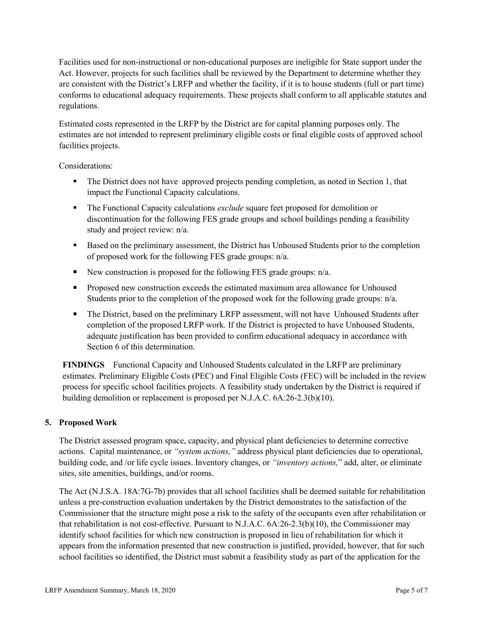Facilities used for non-instructional or non-educational purposes are ineligible for State support under the Act. However, projects for such facilities shall be reviewed by the Department to determine whether they are consistent with the District's LRFP and whether the facility, if it is to house students (full or part time) conforms to educational adequacy requirements. These projects shall conform to all applicable statutes and regulations.

Estimated costs represented in the LRFP by the District are for capital planning purposes only. The estimates are not intended to represent preliminary eligible costs or final eligible costs of approved school facilities projects.

Considerations:

- The District does not have approved projects pending completion, as noted in Section 1, that impact the Functional Capacity calculations.
- The Functional Capacity calculations *exclude* square feet proposed for demolition or discontinuation for the following FES grade groups and school buildings pending a feasibility study and project review: n/a.
- **Based on the preliminary assessment, the District has Unhoused Students prior to the completion** of proposed work for the following FES grade groups: n/a.
- New construction is proposed for the following FES grade groups:  $n/a$ .
- **Proposed new construction exceeds the estimated maximum area allowance for Unhoused** Students prior to the completion of the proposed work for the following grade groups: n/a.
- The District, based on the preliminary LRFP assessment, will not have Unhoused Students after completion of the proposed LRFP work. If the District is projected to have Unhoused Students, adequate justification has been provided to confirm educational adequacy in accordance with Section 6 of this determination.

**FINDINGS** Functional Capacity and Unhoused Students calculated in the LRFP are preliminary estimates. Preliminary Eligible Costs (PEC) and Final Eligible Costs (FEC) will be included in the review process for specific school facilities projects. A feasibility study undertaken by the District is required if building demolition or replacement is proposed per N.J.A.C. 6A:26-2.3(b)(10).

# **5. Proposed Work**

The District assessed program space, capacity, and physical plant deficiencies to determine corrective actions. Capital maintenance, or *"system actions,"* address physical plant deficiencies due to operational, building code, and /or life cycle issues. Inventory changes, or *"inventory actions,*" add, alter, or eliminate sites, site amenities, buildings, and/or rooms.

The Act (N.J.S.A. 18A:7G-7b) provides that all school facilities shall be deemed suitable for rehabilitation unless a pre-construction evaluation undertaken by the District demonstrates to the satisfaction of the Commissioner that the structure might pose a risk to the safety of the occupants even after rehabilitation or that rehabilitation is not cost-effective. Pursuant to N.J.A.C. 6A:26-2.3(b)(10), the Commissioner may identify school facilities for which new construction is proposed in lieu of rehabilitation for which it appears from the information presented that new construction is justified, provided, however, that for such school facilities so identified, the District must submit a feasibility study as part of the application for the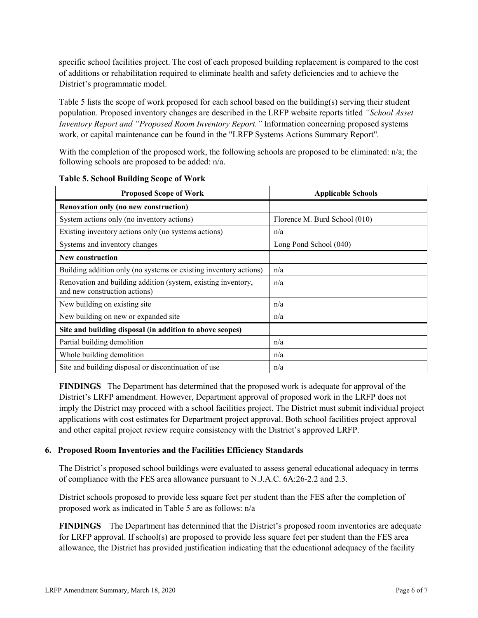specific school facilities project. The cost of each proposed building replacement is compared to the cost of additions or rehabilitation required to eliminate health and safety deficiencies and to achieve the District's programmatic model.

Table 5 lists the scope of work proposed for each school based on the building(s) serving their student population. Proposed inventory changes are described in the LRFP website reports titled *"School Asset Inventory Report and "Proposed Room Inventory Report."* Information concerning proposed systems work, or capital maintenance can be found in the "LRFP Systems Actions Summary Report".

With the completion of the proposed work, the following schools are proposed to be eliminated: n/a; the following schools are proposed to be added: n/a.

| <b>Proposed Scope of Work</b>                                                                  | <b>Applicable Schools</b>     |  |  |
|------------------------------------------------------------------------------------------------|-------------------------------|--|--|
| Renovation only (no new construction)                                                          |                               |  |  |
| System actions only (no inventory actions)                                                     | Florence M. Burd School (010) |  |  |
| Existing inventory actions only (no systems actions)                                           | n/a                           |  |  |
| Systems and inventory changes                                                                  | Long Pond School (040)        |  |  |
| New construction                                                                               |                               |  |  |
| Building addition only (no systems or existing inventory actions)                              | n/a                           |  |  |
| Renovation and building addition (system, existing inventory,<br>and new construction actions) | n/a                           |  |  |
| New building on existing site                                                                  | n/a                           |  |  |
| New building on new or expanded site                                                           | n/a                           |  |  |
| Site and building disposal (in addition to above scopes)                                       |                               |  |  |
| Partial building demolition                                                                    | n/a                           |  |  |
| Whole building demolition                                                                      | n/a                           |  |  |
| Site and building disposal or discontinuation of use                                           | n/a                           |  |  |

**Table 5. School Building Scope of Work**

**FINDINGS** The Department has determined that the proposed work is adequate for approval of the District's LRFP amendment. However, Department approval of proposed work in the LRFP does not imply the District may proceed with a school facilities project. The District must submit individual project applications with cost estimates for Department project approval. Both school facilities project approval and other capital project review require consistency with the District's approved LRFP.

#### **6. Proposed Room Inventories and the Facilities Efficiency Standards**

The District's proposed school buildings were evaluated to assess general educational adequacy in terms of compliance with the FES area allowance pursuant to N.J.A.C. 6A:26-2.2 and 2.3.

District schools proposed to provide less square feet per student than the FES after the completion of proposed work as indicated in Table 5 are as follows: n/a

**FINDINGS** The Department has determined that the District's proposed room inventories are adequate for LRFP approval. If school(s) are proposed to provide less square feet per student than the FES area allowance, the District has provided justification indicating that the educational adequacy of the facility